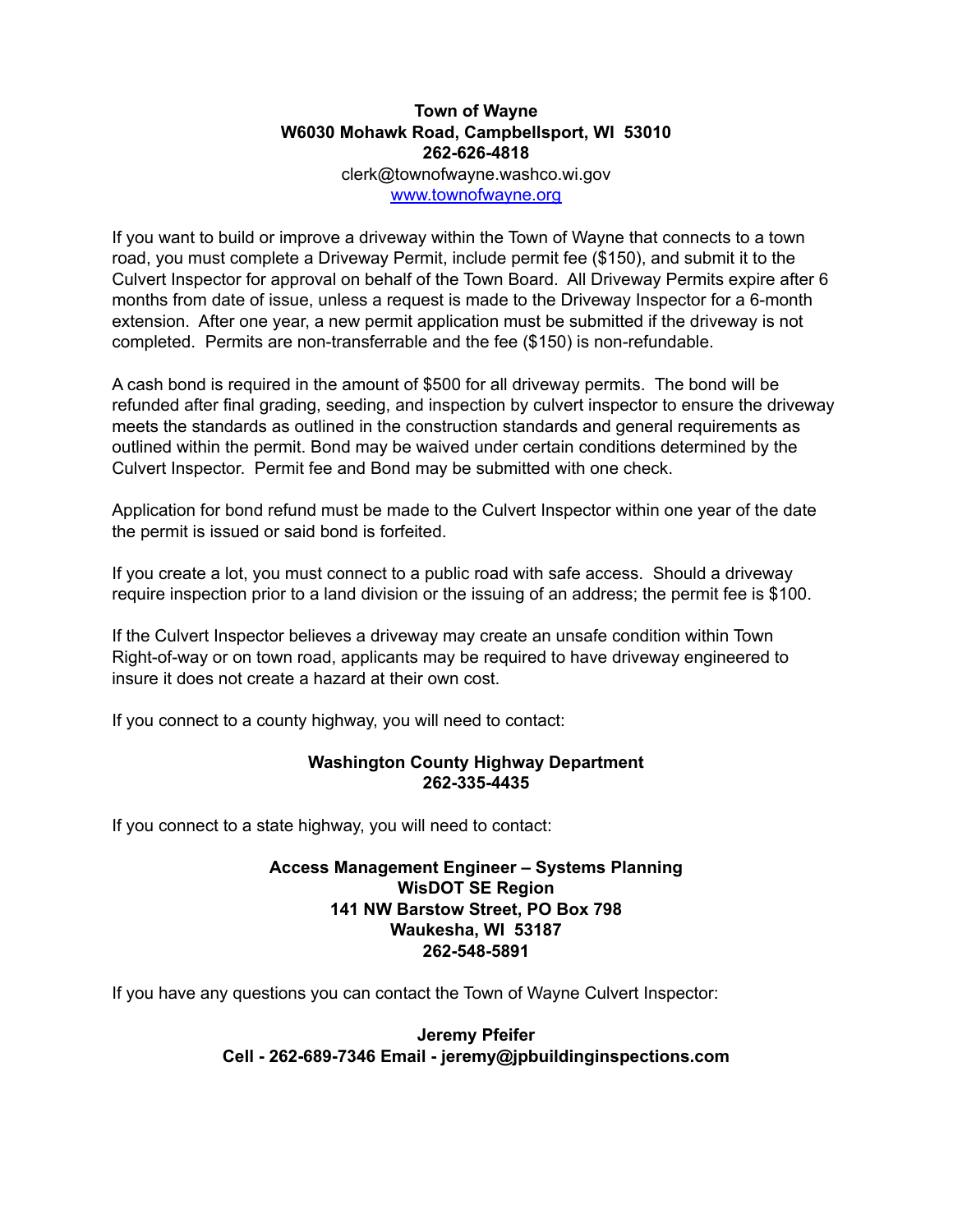## **Town of Wayne W6030 Mohawk Road, Campbellsport, WI 53010 262-626-4818** clerk@townofwayne.washco.wi.gov

[www.townofwayne.org](http://www.townofwayne.org)

If you want to build or improve a driveway within the Town of Wayne that connects to a town road, you must complete a Driveway Permit, include permit fee (\$150), and submit it to the Culvert Inspector for approval on behalf of the Town Board. All Driveway Permits expire after 6 months from date of issue, unless a request is made to the Driveway Inspector for a 6-month extension. After one year, a new permit application must be submitted if the driveway is not completed. Permits are non-transferrable and the fee (\$150) is non-refundable.

A cash bond is required in the amount of \$500 for all driveway permits. The bond will be refunded after final grading, seeding, and inspection by culvert inspector to ensure the driveway meets the standards as outlined in the construction standards and general requirements as outlined within the permit. Bond may be waived under certain conditions determined by the Culvert Inspector. Permit fee and Bond may be submitted with one check.

Application for bond refund must be made to the Culvert Inspector within one year of the date the permit is issued or said bond is forfeited.

If you create a lot, you must connect to a public road with safe access. Should a driveway require inspection prior to a land division or the issuing of an address; the permit fee is \$100.

If the Culvert Inspector believes a driveway may create an unsafe condition within Town Right-of-way or on town road, applicants may be required to have driveway engineered to insure it does not create a hazard at their own cost.

If you connect to a county highway, you will need to contact:

#### **Washington County Highway Department 262-335-4435**

If you connect to a state highway, you will need to contact:

### **Access Management Engineer – Systems Planning WisDOT SE Region 141 NW Barstow Street, PO Box 798 Waukesha, WI 53187 262-548-5891**

If you have any questions you can contact the Town of Wayne Culvert Inspector:

### **Jeremy Pfeifer Cell - 262-689-7346 Email - jeremy@jpbuildinginspections.com**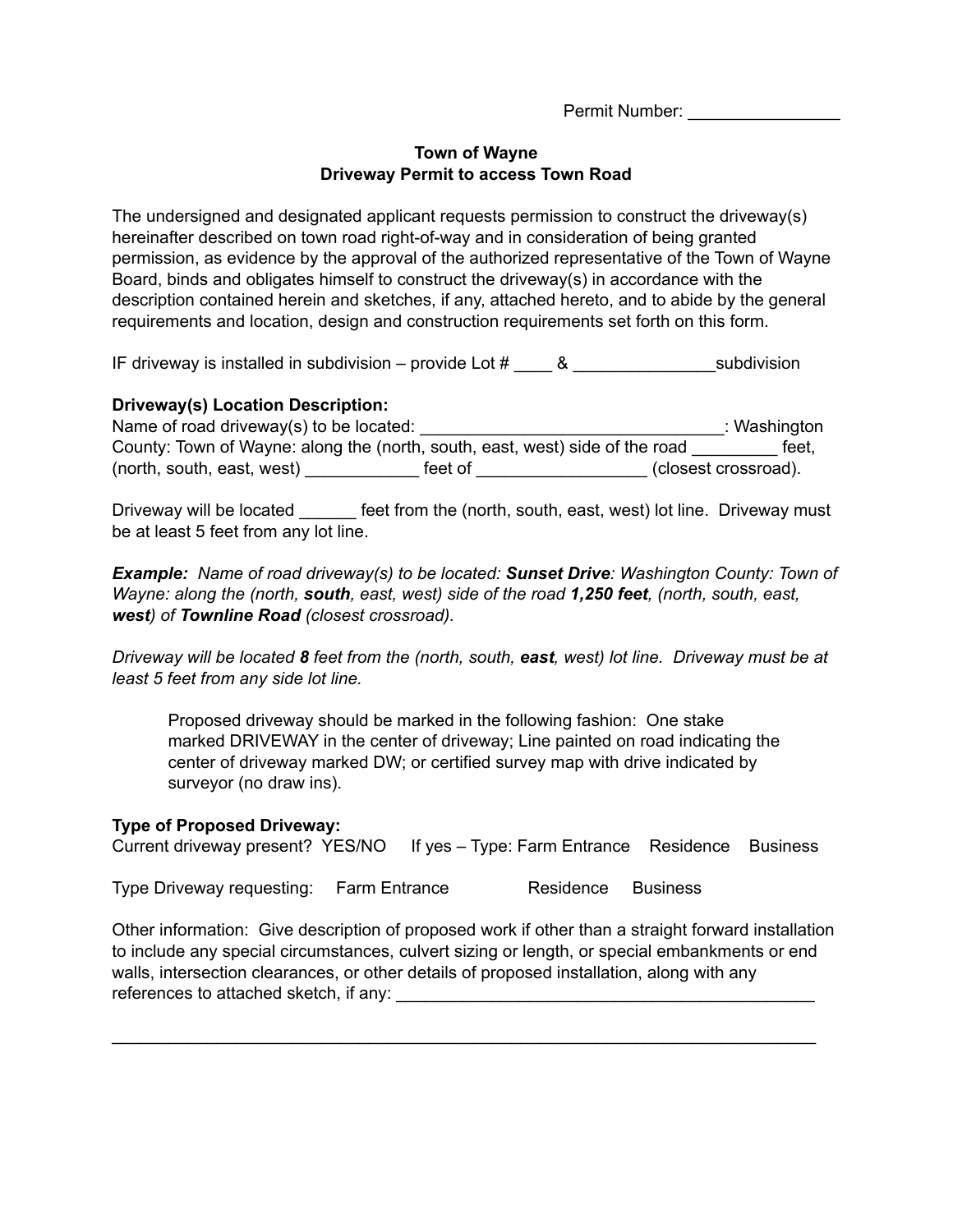Permit Number:

#### **Town of Wayne Driveway Permit to access Town Road**

The undersigned and designated applicant requests permission to construct the driveway(s) hereinafter described on town road right-of-way and in consideration of being granted permission, as evidence by the approval of the authorized representative of the Town of Wayne Board, binds and obligates himself to construct the driveway(s) in accordance with the description contained herein and sketches, if any, attached hereto, and to abide by the general requirements and location, design and construction requirements set forth on this form.

IF driveway is installed in subdivision – provide Lot  $\#$  8

### **Driveway(s) Location Description:**

Name of road driveway(s) to be located: \_\_\_\_\_\_\_\_\_\_\_\_\_\_\_\_\_\_\_\_\_\_\_\_\_\_\_\_\_\_\_\_: Washington County: Town of Wayne: along the (north, south, east, west) side of the road feet. (north, south, east, west) \_\_\_\_\_\_\_\_\_\_\_\_ feet of \_\_\_\_\_\_\_\_\_\_\_\_\_\_\_\_\_\_ (closest crossroad).

Driveway will be located feet from the (north, south, east, west) lot line. Driveway must be at least 5 feet from any lot line.

*Example: Name of road driveway(s) to be located: Sunset Drive: Washington County: Town of Wayne: along the (north, south, east, west) side of the road 1,250 feet, (north, south, east, west) of Townline Road (closest crossroad).*

Driveway will be located 8 feet from the (north, south, east, west) lot line. Driveway must be at *least 5 feet from any side lot line.*

Proposed driveway should be marked in the following fashion: One stake marked DRIVEWAY in the center of driveway; Line painted on road indicating the center of driveway marked DW; or certified survey map with drive indicated by surveyor (no draw ins).

### **Type of Proposed Driveway:**

| Current driveway present? YES/NO If yes - Type: Farm Entrance Residence Business |  |  |
|----------------------------------------------------------------------------------|--|--|
|                                                                                  |  |  |

Type Driveway requesting: Farm Entrance Residence Business

Other information: Give description of proposed work if other than a straight forward installation to include any special circumstances, culvert sizing or length, or special embankments or end walls, intersection clearances, or other details of proposed installation, along with any references to attached sketch, if any:

\_\_\_\_\_\_\_\_\_\_\_\_\_\_\_\_\_\_\_\_\_\_\_\_\_\_\_\_\_\_\_\_\_\_\_\_\_\_\_\_\_\_\_\_\_\_\_\_\_\_\_\_\_\_\_\_\_\_\_\_\_\_\_\_\_\_\_\_\_\_\_\_\_\_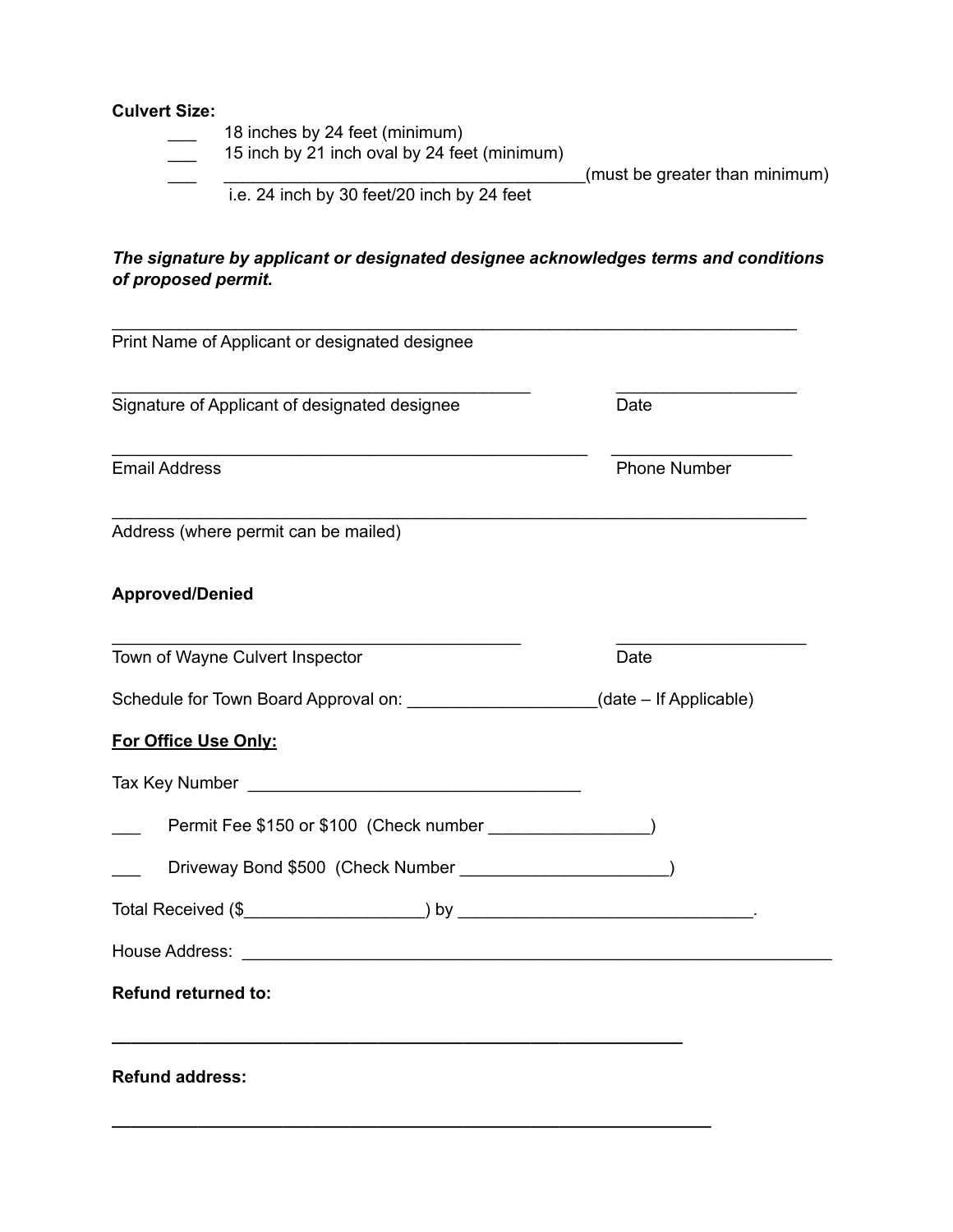## **Culvert Size:**

- 18 inches by 24 feet (minimum)
- $\frac{1}{\sqrt{15}}$  15 inch by 21 inch oval by 24 feet (minimum)

\_\_\_ \_\_\_\_\_\_\_\_\_\_\_\_\_\_\_\_\_\_\_\_\_\_\_\_\_\_\_\_\_\_\_\_\_\_\_\_\_\_(must be greater than minimum)

i.e. 24 inch by 30 feet/20 inch by 24 feet

## *The signature by applicant or designated designee acknowledges terms and conditions of proposed permit.*

| Print Name of Applicant or designated designee                                    |                     |  |
|-----------------------------------------------------------------------------------|---------------------|--|
| Signature of Applicant of designated designee                                     | Date                |  |
| <b>Email Address</b>                                                              | <b>Phone Number</b> |  |
| Address (where permit can be mailed)                                              |                     |  |
| <b>Approved/Denied</b>                                                            |                     |  |
| Town of Wayne Culvert Inspector                                                   | Date                |  |
| Schedule for Town Board Approval on: ______________________(date - If Applicable) |                     |  |
| For Office Use Only:                                                              |                     |  |
|                                                                                   |                     |  |
|                                                                                   |                     |  |
| Driveway Bond \$500 (Check Number ________________________)                       |                     |  |
|                                                                                   |                     |  |
|                                                                                   |                     |  |
|                                                                                   |                     |  |

**\_\_\_\_\_\_\_\_\_\_\_\_\_\_\_\_\_\_\_\_\_\_\_\_\_\_\_\_\_\_\_\_\_\_\_\_\_\_\_\_\_\_\_\_\_\_\_\_\_\_\_\_\_\_\_\_\_\_\_\_\_\_\_**